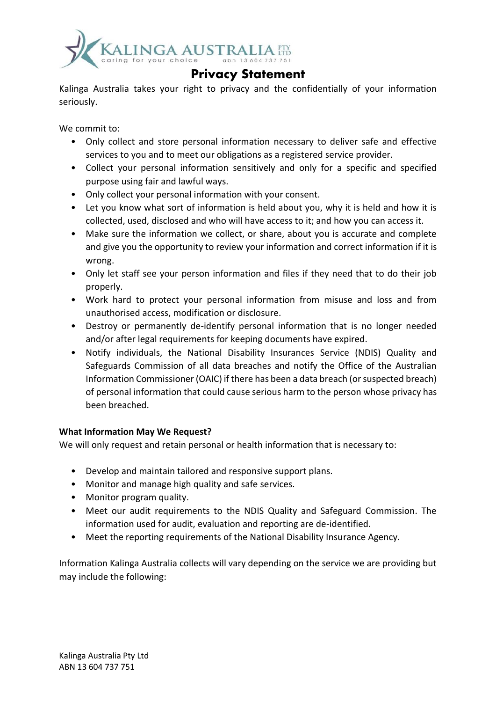

# **Privacy Statement**

Kalinga Australia takes your right to privacy and the confidentially of your information seriously.

We commit to:

- Only collect and store personal information necessary to deliver safe and effective services to you and to meet our obligations as a registered service provider.
- Collect your personal information sensitively and only for a specific and specified purpose using fair and lawful ways.
- Only collect your personal information with your consent.
- Let you know what sort of information is held about you, why it is held and how it is collected, used, disclosed and who will have access to it; and how you can access it.
- Make sure the information we collect, or share, about you is accurate and complete and give you the opportunity to review your information and correct information if it is wrong.
- Only let staff see your person information and files if they need that to do their job properly.
- Work hard to protect your personal information from misuse and loss and from unauthorised access, modification or disclosure.
- Destroy or permanently de-identify personal information that is no longer needed and/or after legal requirements for keeping documents have expired.
- Notify individuals, the National Disability Insurances Service (NDIS) Quality and Safeguards Commission of all data breaches and notify the Office of the Australian Information Commissioner (OAIC) if there has been a data breach (or suspected breach) of personal information that could cause serious harm to the person whose privacy has been breached.

## **What Information May We Request?**

We will only request and retain personal or health information that is necessary to:

- Develop and maintain tailored and responsive support plans.
- Monitor and manage high quality and safe services.
- Monitor program quality.
- Meet our audit requirements to the NDIS Quality and Safeguard Commission. The information used for audit, evaluation and reporting are de-identified.
- Meet the reporting requirements of the National Disability Insurance Agency.

Information Kalinga Australia collects will vary depending on the service we are providing but may include the following: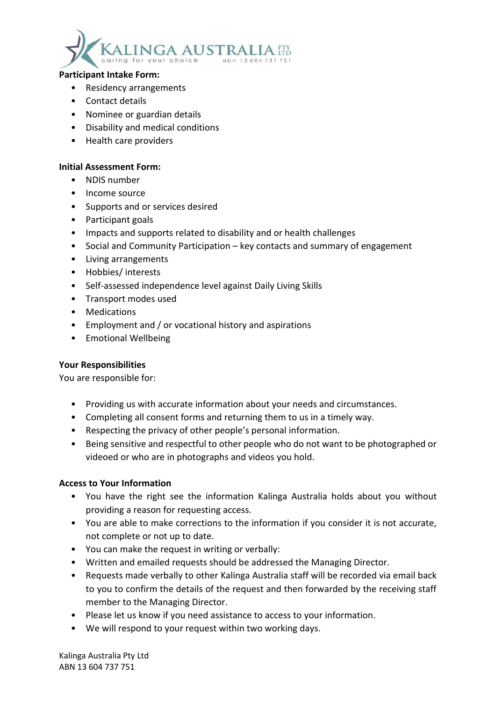

#### **Participant Intake Form:**

- Residency arrangements
- Contact details
- Nominee or guardian details
- Disability and medical conditions
- Health care providers

## **Initial Assessment Form:**

- NDIS number
- Income source
- Supports and or services desired
- Participant goals
- Impacts and supports related to disability and or health challenges
- Social and Community Participation key contacts and summary of engagement
- Living arrangements
- Hobbies/ interests
- Self-assessed independence level against Daily Living Skills
- Transport modes used
- Medications
- Employment and / or vocational history and aspirations
- Emotional Wellbeing

### **Your Responsibilities**

You are responsible for:

- Providing us with accurate information about your needs and circumstances.
- Completing all consent forms and returning them to us in a timely way.
- Respecting the privacy of other people's personal information.
- Being sensitive and respectful to other people who do not want to be photographed or videoed or who are in photographs and videos you hold.

### **Access to Your Information**

- You have the right see the information Kalinga Australia holds about you without providing a reason for requesting access.
- You are able to make corrections to the information if you consider it is not accurate, not complete or not up to date.
- You can make the request in writing or verbally:
- Written and emailed requests should be addressed the Managing Director.
- Requests made verbally to other Kalinga Australia staff will be recorded via email back to you to confirm the details of the request and then forwarded by the receiving staff member to the Managing Director.
- Please let us know if you need assistance to access to your information.
- We will respond to your request within two working days.

Kalinga Australia Pty Ltd ABN 13 604 737 751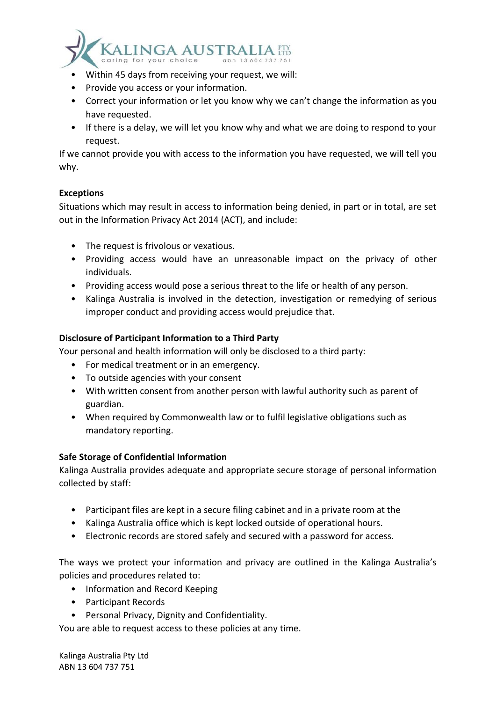

- Within 45 days from receiving your request, we will:
- Provide you access or your information.
- Correct your information or let you know why we can't change the information as you have requested.
- If there is a delay, we will let you know why and what we are doing to respond to your request.

If we cannot provide you with access to the information you have requested, we will tell you why.

## **Exceptions**

Situations which may result in access to information being denied, in part or in total, are set out in the Information Privacy Act 2014 (ACT), and include:

- The request is frivolous or vexatious.
- Providing access would have an unreasonable impact on the privacy of other individuals.
- Providing access would pose a serious threat to the life or health of any person.
- Kalinga Australia is involved in the detection, investigation or remedying of serious improper conduct and providing access would prejudice that.

## **Disclosure of Participant Information to a Third Party**

Your personal and health information will only be disclosed to a third party:

- For medical treatment or in an emergency.
- To outside agencies with your consent
- With written consent from another person with lawful authority such as parent of guardian.
- When required by Commonwealth law or to fulfil legislative obligations such as mandatory reporting.

## **Safe Storage of Confidential Information**

Kalinga Australia provides adequate and appropriate secure storage of personal information collected by staff:

- Participant files are kept in a secure filing cabinet and in a private room at the
- Kalinga Australia office which is kept locked outside of operational hours.
- Electronic records are stored safely and secured with a password for access.

The ways we protect your information and privacy are outlined in the Kalinga Australia's policies and procedures related to:

- Information and Record Keeping
- Participant Records
- Personal Privacy, Dignity and Confidentiality.

You are able to request access to these policies at any time.

Kalinga Australia Pty Ltd ABN 13 604 737 751